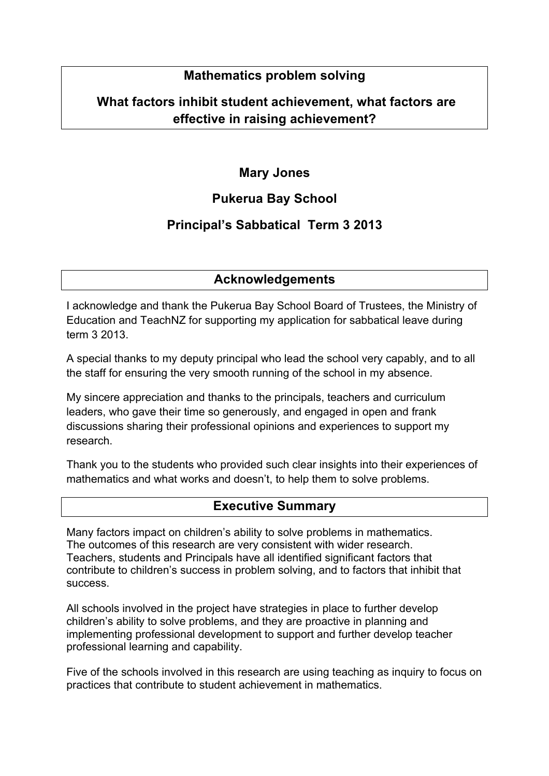# **Mathematics problem solving**

# **What factors inhibit student achievement, what factors are effective in raising achievement?**

# **Mary Jones**

# **Pukerua Bay School**

# **Principal's Sabbatical Term 3 2013**

# **Acknowledgements**

I acknowledge and thank the Pukerua Bay School Board of Trustees, the Ministry of Education and TeachNZ for supporting my application for sabbatical leave during term 3 2013.

A special thanks to my deputy principal who lead the school very capably, and to all the staff for ensuring the very smooth running of the school in my absence.

My sincere appreciation and thanks to the principals, teachers and curriculum leaders, who gave their time so generously, and engaged in open and frank discussions sharing their professional opinions and experiences to support my research.

Thank you to the students who provided such clear insights into their experiences of mathematics and what works and doesn't, to help them to solve problems.

#### **Executive Summary**

Many factors impact on children's ability to solve problems in mathematics. The outcomes of this research are very consistent with wider research. Teachers, students and Principals have all identified significant factors that contribute to children's success in problem solving, and to factors that inhibit that success.

All schools involved in the project have strategies in place to further develop children's ability to solve problems, and they are proactive in planning and implementing professional development to support and further develop teacher professional learning and capability.

Five of the schools involved in this research are using teaching as inquiry to focus on practices that contribute to student achievement in mathematics.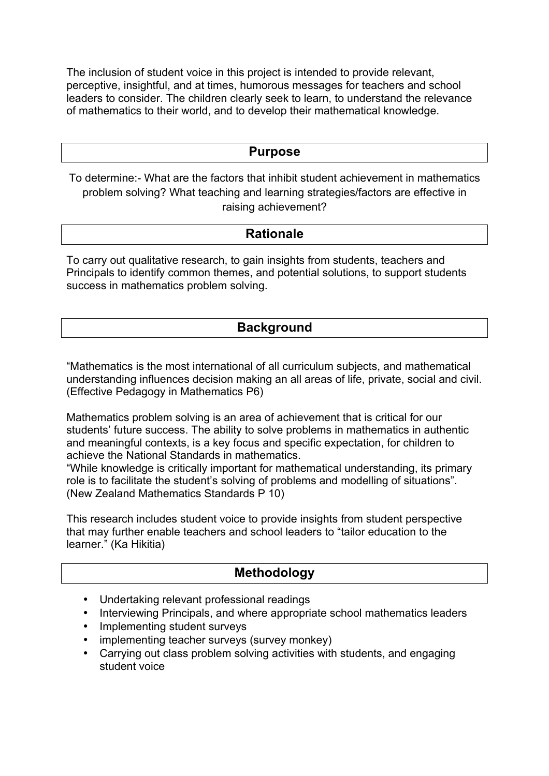The inclusion of student voice in this project is intended to provide relevant, perceptive, insightful, and at times, humorous messages for teachers and school leaders to consider. The children clearly seek to learn, to understand the relevance of mathematics to their world, and to develop their mathematical knowledge.

#### **Purpose**

To determine:- What are the factors that inhibit student achievement in mathematics problem solving? What teaching and learning strategies/factors are effective in raising achievement?

### **Rationale**

To carry out qualitative research, to gain insights from students, teachers and Principals to identify common themes, and potential solutions, to support students success in mathematics problem solving.

# **Background**

"Mathematics is the most international of all curriculum subjects, and mathematical understanding influences decision making an all areas of life, private, social and civil. (Effective Pedagogy in Mathematics P6)

Mathematics problem solving is an area of achievement that is critical for our students' future success. The ability to solve problems in mathematics in authentic and meaningful contexts, is a key focus and specific expectation, for children to achieve the National Standards in mathematics.

"While knowledge is critically important for mathematical understanding, its primary role is to facilitate the student's solving of problems and modelling of situations". (New Zealand Mathematics Standards P 10)

This research includes student voice to provide insights from student perspective that may further enable teachers and school leaders to "tailor education to the learner." (Ka Hikitia)

#### **Methodology**

- Undertaking relevant professional readings
- Interviewing Principals, and where appropriate school mathematics leaders
- Implementing student surveys
- implementing teacher surveys (survey monkey)
- Carrying out class problem solving activities with students, and engaging student voice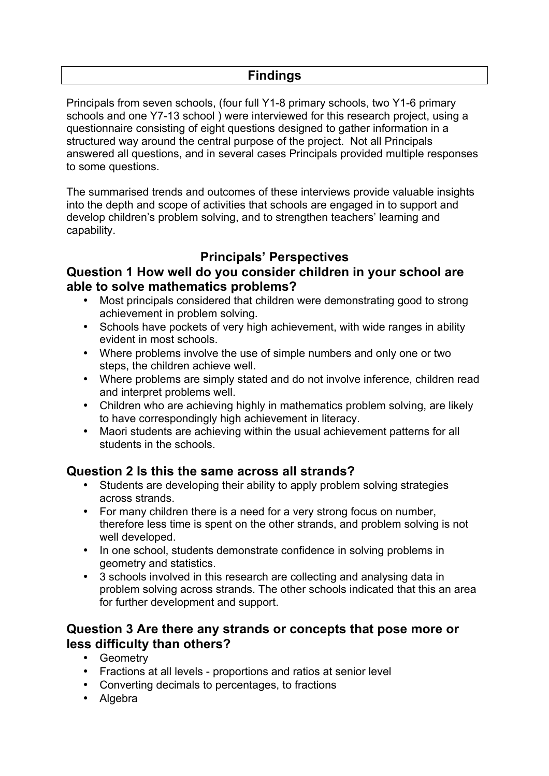Principals from seven schools, (four full Y1-8 primary schools, two Y1-6 primary schools and one Y7-13 school ) were interviewed for this research project, using a questionnaire consisting of eight questions designed to gather information in a structured way around the central purpose of the project. Not all Principals answered all questions, and in several cases Principals provided multiple responses to some questions.

The summarised trends and outcomes of these interviews provide valuable insights into the depth and scope of activities that schools are engaged in to support and develop children's problem solving, and to strengthen teachers' learning and capability.

# **Principals' Perspectives**

# **Question 1 How well do you consider children in your school are able to solve mathematics problems?**

- Most principals considered that children were demonstrating good to strong achievement in problem solving.
- Schools have pockets of very high achievement, with wide ranges in ability evident in most schools.
- Where problems involve the use of simple numbers and only one or two steps, the children achieve well.
- Where problems are simply stated and do not involve inference, children read and interpret problems well.
- Children who are achieving highly in mathematics problem solving, are likely to have correspondingly high achievement in literacy.
- Maori students are achieving within the usual achievement patterns for all students in the schools.

# **Question 2 Is this the same across all strands?**

- Students are developing their ability to apply problem solving strategies across strands.
- For many children there is a need for a very strong focus on number, therefore less time is spent on the other strands, and problem solving is not well developed.
- In one school, students demonstrate confidence in solving problems in geometry and statistics.
- 3 schools involved in this research are collecting and analysing data in problem solving across strands. The other schools indicated that this an area for further development and support.

#### **Question 3 Are there any strands or concepts that pose more or less difficulty than others?**

- Geometry
- Fractions at all levels proportions and ratios at senior level
- Converting decimals to percentages, to fractions
- Algebra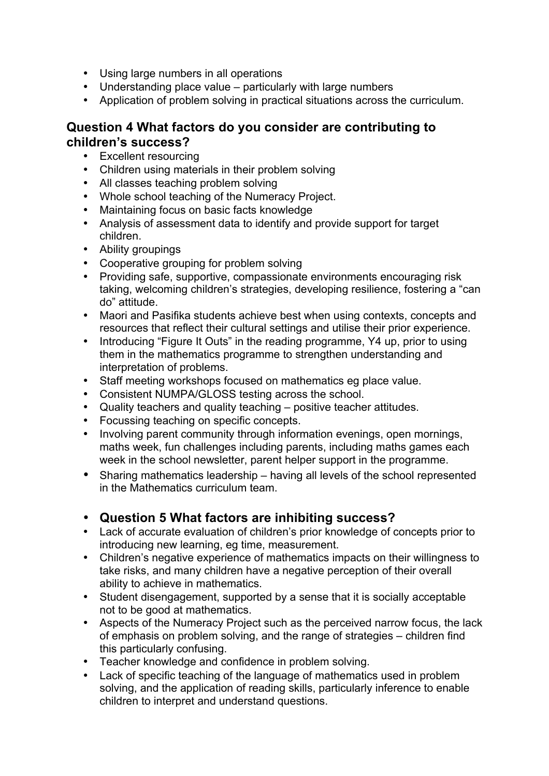- Using large numbers in all operations
- Understanding place value particularly with large numbers
- Application of problem solving in practical situations across the curriculum.

# **Question 4 What factors do you consider are contributing to children's success?**

- Excellent resourcing
- Children using materials in their problem solving
- All classes teaching problem solving
- Whole school teaching of the Numeracy Project.
- Maintaining focus on basic facts knowledge
- Analysis of assessment data to identify and provide support for target children.
- Ability groupings
- Cooperative grouping for problem solving
- Providing safe, supportive, compassionate environments encouraging risk taking, welcoming children's strategies, developing resilience, fostering a "can do" attitude.
- Maori and Pasifika students achieve best when using contexts, concepts and resources that reflect their cultural settings and utilise their prior experience.
- Introducing "Figure It Outs" in the reading programme, Y4 up, prior to using them in the mathematics programme to strengthen understanding and interpretation of problems.
- Staff meeting workshops focused on mathematics eg place value.
- Consistent NUMPA/GLOSS testing across the school.
- Quality teachers and quality teaching positive teacher attitudes.
- Focussing teaching on specific concepts.
- Involving parent community through information evenings, open mornings, maths week, fun challenges including parents, including maths games each week in the school newsletter, parent helper support in the programme.
- Sharing mathematics leadership having all levels of the school represented in the Mathematics curriculum team.
- **Question 5 What factors are inhibiting success?**
- Lack of accurate evaluation of children's prior knowledge of concepts prior to introducing new learning, eg time, measurement.
- Children's negative experience of mathematics impacts on their willingness to take risks, and many children have a negative perception of their overall ability to achieve in mathematics.
- Student disengagement, supported by a sense that it is socially acceptable not to be good at mathematics.
- Aspects of the Numeracy Project such as the perceived narrow focus, the lack of emphasis on problem solving, and the range of strategies – children find this particularly confusing.
- Teacher knowledge and confidence in problem solving.
- Lack of specific teaching of the language of mathematics used in problem solving, and the application of reading skills, particularly inference to enable children to interpret and understand questions.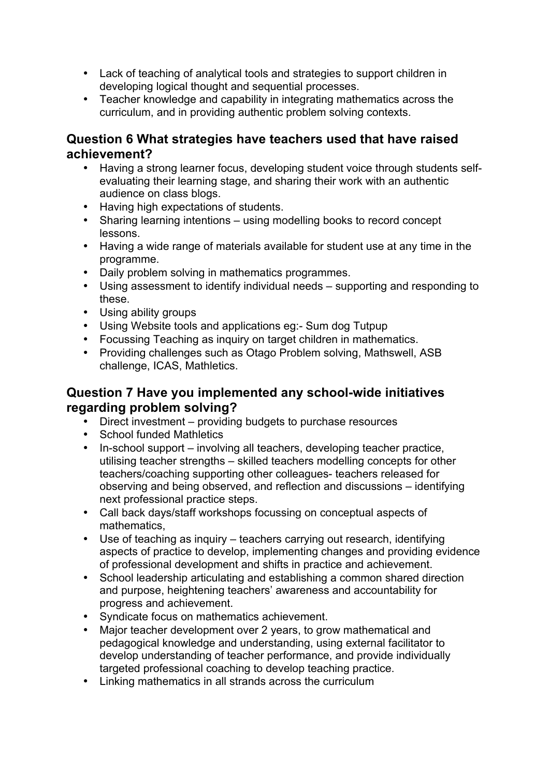- Lack of teaching of analytical tools and strategies to support children in developing logical thought and sequential processes.
- Teacher knowledge and capability in integrating mathematics across the curriculum, and in providing authentic problem solving contexts.

#### **Question 6 What strategies have teachers used that have raised achievement?**

- Having a strong learner focus, developing student voice through students selfevaluating their learning stage, and sharing their work with an authentic audience on class blogs.
- Having high expectations of students.
- Sharing learning intentions using modelling books to record concept lessons.
- Having a wide range of materials available for student use at any time in the programme.
- Daily problem solving in mathematics programmes.
- Using assessment to identify individual needs supporting and responding to these.
- Using ability groups
- Using Website tools and applications eg:- Sum dog Tutpup
- Focussing Teaching as inquiry on target children in mathematics.
- Providing challenges such as Otago Problem solving, Mathswell, ASB challenge, ICAS, Mathletics.

### **Question 7 Have you implemented any school-wide initiatives regarding problem solving?**

- Direct investment providing budgets to purchase resources
- School funded Mathletics
- In-school support involving all teachers, developing teacher practice, utilising teacher strengths – skilled teachers modelling concepts for other teachers/coaching supporting other colleagues- teachers released for observing and being observed, and reflection and discussions – identifying next professional practice steps.
- Call back days/staff workshops focussing on conceptual aspects of mathematics,
- Use of teaching as inquiry teachers carrying out research, identifying aspects of practice to develop, implementing changes and providing evidence of professional development and shifts in practice and achievement.
- School leadership articulating and establishing a common shared direction and purpose, heightening teachers' awareness and accountability for progress and achievement.
- Syndicate focus on mathematics achievement.
- Major teacher development over 2 years, to grow mathematical and pedagogical knowledge and understanding, using external facilitator to develop understanding of teacher performance, and provide individually targeted professional coaching to develop teaching practice.
- Linking mathematics in all strands across the curriculum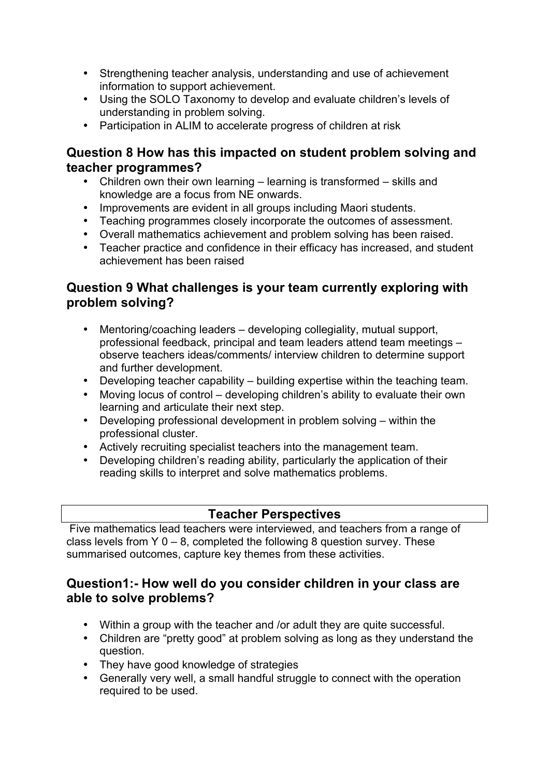- Strengthening teacher analysis, understanding and use of achievement information to support achievement.
- Using the SOLO Taxonomy to develop and evaluate children's levels of understanding in problem solving.
- Participation in ALIM to accelerate progress of children at risk

### **Question 8 How has this impacted on student problem solving and teacher programmes?**

- Children own their own learning learning is transformed skills and knowledge are a focus from NE onwards.
- Improvements are evident in all groups including Maori students.
- Teaching programmes closely incorporate the outcomes of assessment.
- Overall mathematics achievement and problem solving has been raised.
- Teacher practice and confidence in their efficacy has increased, and student achievement has been raised

# **Question 9 What challenges is your team currently exploring with problem solving?**

- Mentoring/coaching leaders developing collegiality, mutual support, professional feedback, principal and team leaders attend team meetings – observe teachers ideas/comments/ interview children to determine support and further development.
- Developing teacher capability building expertise within the teaching team.
- Moving locus of control developing children's ability to evaluate their own learning and articulate their next step.
- Developing professional development in problem solving within the professional cluster.
- Actively recruiting specialist teachers into the management team.<br>• Developing children's reading ability particularly the application of
- Developing children's reading ability, particularly the application of their reading skills to interpret and solve mathematics problems.

# **Teacher Perspectives**

Five mathematics lead teachers were interviewed, and teachers from a range of class levels from  $Y$  0 – 8, completed the following 8 question survey. These summarised outcomes, capture key themes from these activities.

### **Question1:- How well do you consider children in your class are able to solve problems?**

- Within a group with the teacher and /or adult they are quite successful.
- Children are "pretty good" at problem solving as long as they understand the question.
- They have good knowledge of strategies
- Generally very well, a small handful struggle to connect with the operation required to be used.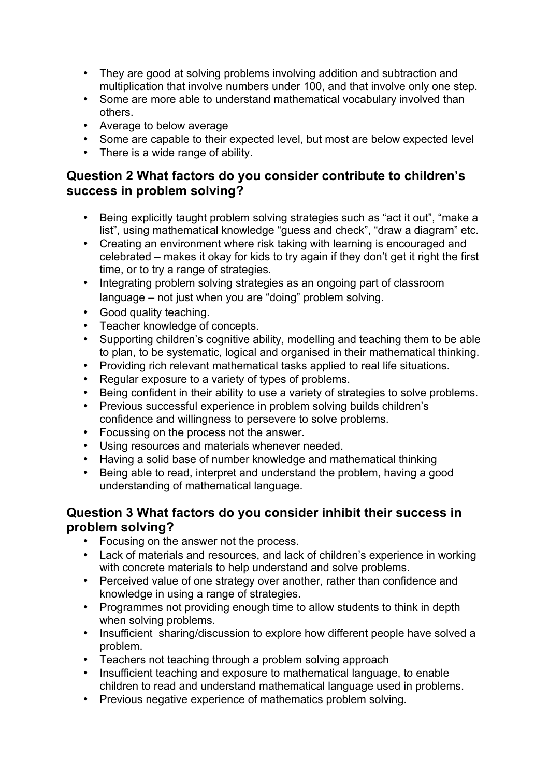- They are good at solving problems involving addition and subtraction and multiplication that involve numbers under 100, and that involve only one step.
- Some are more able to understand mathematical vocabulary involved than others.
- Average to below average
- Some are capable to their expected level, but most are below expected level
- There is a wide range of ability.

# **Question 2 What factors do you consider contribute to children's success in problem solving?**

- Being explicitly taught problem solving strategies such as "act it out", "make a list", using mathematical knowledge "guess and check", "draw a diagram" etc.
- Creating an environment where risk taking with learning is encouraged and celebrated – makes it okay for kids to try again if they don't get it right the first time, or to try a range of strategies.
- Integrating problem solving strategies as an ongoing part of classroom language – not just when you are "doing" problem solving.
- Good quality teaching.
- Teacher knowledge of concepts.
- Supporting children's cognitive ability, modelling and teaching them to be able to plan, to be systematic, logical and organised in their mathematical thinking.
- Providing rich relevant mathematical tasks applied to real life situations.<br>• Requilar exposure to a variety of types of problems
- Regular exposure to a variety of types of problems.
- Being confident in their ability to use a variety of strategies to solve problems.
- Previous successful experience in problem solving builds children's confidence and willingness to persevere to solve problems.
- Focussing on the process not the answer.
- Using resources and materials whenever needed.
- Having a solid base of number knowledge and mathematical thinking
- Being able to read, interpret and understand the problem, having a good understanding of mathematical language.

# **Question 3 What factors do you consider inhibit their success in problem solving?**

- Focusing on the answer not the process.
- Lack of materials and resources, and lack of children's experience in working with concrete materials to help understand and solve problems.
- Perceived value of one strategy over another, rather than confidence and knowledge in using a range of strategies.
- Programmes not providing enough time to allow students to think in depth when solving problems.
- Insufficient sharing/discussion to explore how different people have solved a problem.
- Teachers not teaching through a problem solving approach
- Insufficient teaching and exposure to mathematical language, to enable children to read and understand mathematical language used in problems.
- Previous negative experience of mathematics problem solving.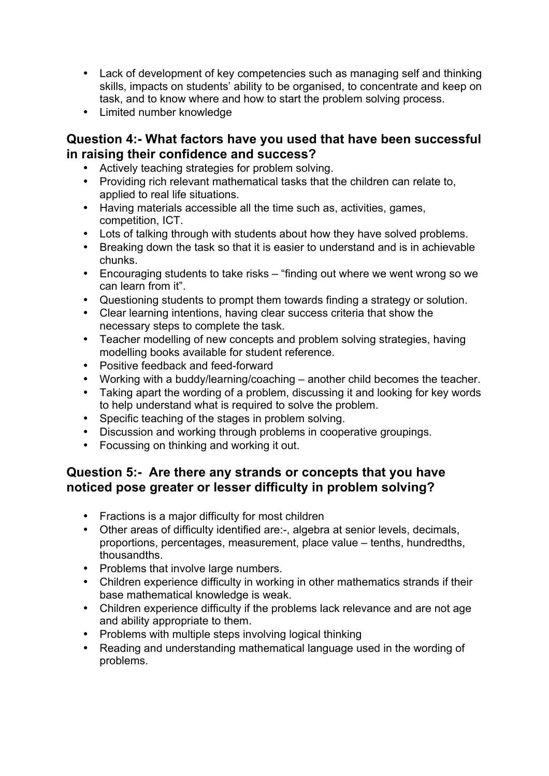- Lack of development of key competencies such as managing self and thinking skills, impacts on students' ability to be organised, to concentrate and keep on task, and to know where and how to start the problem solving process.
- Limited number knowledge

### **Question 4:- What factors have you used that have been successful in raising their confidence and success?**

- Actively teaching strategies for problem solving.
- Providing rich relevant mathematical tasks that the children can relate to, applied to real life situations.
- Having materials accessible all the time such as, activities, games, competition, ICT.
- Lots of talking through with students about how they have solved problems.
- Breaking down the task so that it is easier to understand and is in achievable chunks.
- Encouraging students to take risks "finding out where we went wrong so we can learn from it".
- Questioning students to prompt them towards finding a strategy or solution.
- Clear learning intentions, having clear success criteria that show the necessary steps to complete the task.
- Teacher modelling of new concepts and problem solving strategies, having modelling books available for student reference.
- Positive feedback and feed-forward
- Working with a buddy/learning/coaching another child becomes the teacher.
- Taking apart the wording of a problem, discussing it and looking for key words to help understand what is required to solve the problem.
- Specific teaching of the stages in problem solving.<br>• Discussion and working through problems in coope
- Discussion and working through problems in cooperative groupings.
- Focussing on thinking and working it out.

# **Question 5:- Are there any strands or concepts that you have noticed pose greater or lesser difficulty in problem solving?**

- Fractions is a major difficulty for most children
- Other areas of difficulty identified are:-, algebra at senior levels, decimals, proportions, percentages, measurement, place value – tenths, hundredths, thousandths.
- Problems that involve large numbers.
- Children experience difficulty in working in other mathematics strands if their base mathematical knowledge is weak.
- Children experience difficulty if the problems lack relevance and are not age and ability appropriate to them.
- Problems with multiple steps involving logical thinking
- Reading and understanding mathematical language used in the wording of problems.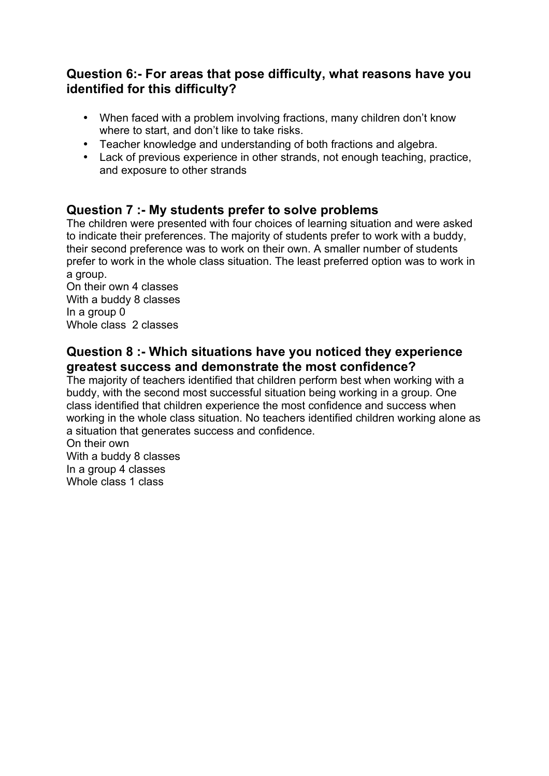# **Question 6:- For areas that pose difficulty, what reasons have you identified for this difficulty?**

- When faced with a problem involving fractions, many children don't know where to start, and don't like to take risks.
- Teacher knowledge and understanding of both fractions and algebra.
- Lack of previous experience in other strands, not enough teaching, practice, and exposure to other strands

### **Question 7 :- My students prefer to solve problems**

The children were presented with four choices of learning situation and were asked to indicate their preferences. The majority of students prefer to work with a buddy, their second preference was to work on their own. A smaller number of students prefer to work in the whole class situation. The least preferred option was to work in a group.

On their own 4 classes With a buddy 8 classes In a group 0 Whole class 2 classes

### **Question 8 :- Which situations have you noticed they experience greatest success and demonstrate the most confidence?**

The majority of teachers identified that children perform best when working with a buddy, with the second most successful situation being working in a group. One class identified that children experience the most confidence and success when working in the whole class situation. No teachers identified children working alone as a situation that generates success and confidence.

On their own With a buddy 8 classes In a group 4 classes Whole class 1 class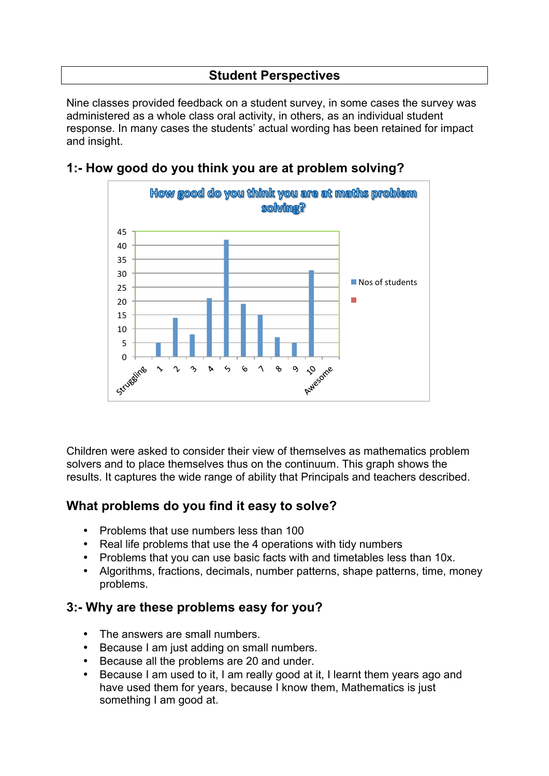# **Student Perspectives**

Nine classes provided feedback on a student survey, in some cases the survey was administered as a whole class oral activity, in others, as an individual student response. In many cases the students' actual wording has been retained for impact and insight.



### **1:- How good do you think you are at problem solving?**

Children were asked to consider their view of themselves as mathematics problem solvers and to place themselves thus on the continuum. This graph shows the results. It captures the wide range of ability that Principals and teachers described.

# **What problems do you find it easy to solve?**

- Problems that use numbers less than 100
- Real life problems that use the 4 operations with tidy numbers
- Problems that you can use basic facts with and timetables less than 10x.
- Algorithms, fractions, decimals, number patterns, shape patterns, time, money problems.

# **3:- Why are these problems easy for you?**

- The answers are small numbers.
- Because I am just adding on small numbers.
- Because all the problems are 20 and under.
- Because I am used to it, I am really good at it, I learnt them years ago and have used them for years, because I know them, Mathematics is just something I am good at.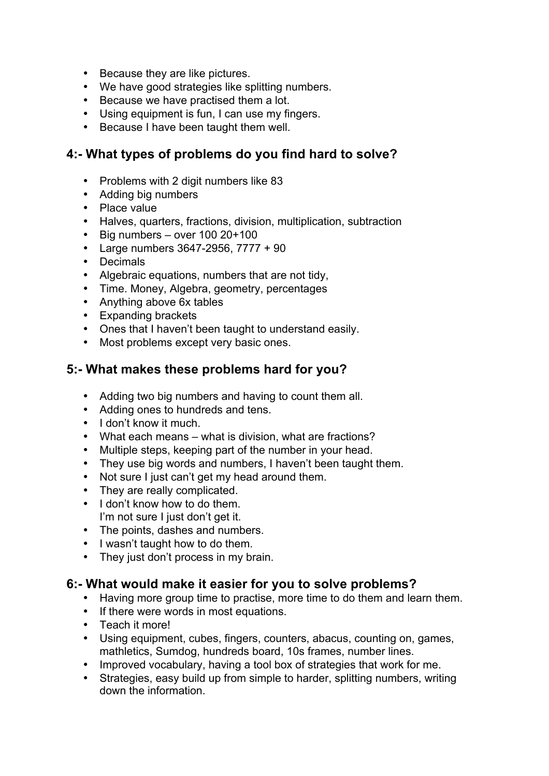- Because they are like pictures.
- We have good strategies like splitting numbers.
- Because we have practised them a lot.
- Using equipment is fun, I can use my fingers.
- Because I have been taught them well.

# **4:- What types of problems do you find hard to solve?**

- Problems with 2 digit numbers like 83
- Adding big numbers
- Place value
- Halves, quarters, fractions, division, multiplication, subtraction<br>• Big numbers over 100 20+100
- Big numbers over 100 20+100
- Large numbers 3647-2956, 7777 + 90
- Decimals
- Algebraic equations, numbers that are not tidy,
- Time. Money, Algebra, geometry, percentages
- Anything above 6x tables
- Expanding brackets
- Ones that I haven't been taught to understand easily.
- Most problems except very basic ones.

### **5:- What makes these problems hard for you?**

- Adding two big numbers and having to count them all.
- Adding ones to hundreds and tens.
- I don't know it much.
- What each means what is division, what are fractions?
- Multiple steps, keeping part of the number in your head.
- They use big words and numbers, I haven't been taught them.
- Not sure I just can't get my head around them.
- They are really complicated.
- I don't know how to do them. I'm not sure I just don't get it.
- The points, dashes and numbers.
- I wasn't taught how to do them.
- They just don't process in my brain.

#### **6:- What would make it easier for you to solve problems?**

- Having more group time to practise, more time to do them and learn them.
- If there were words in most equations.
- Teach it more!
- Using equipment, cubes, fingers, counters, abacus, counting on, games, mathletics, Sumdog, hundreds board, 10s frames, number lines.
- Improved vocabulary, having a tool box of strategies that work for me.
- Strategies, easy build up from simple to harder, splitting numbers, writing down the information.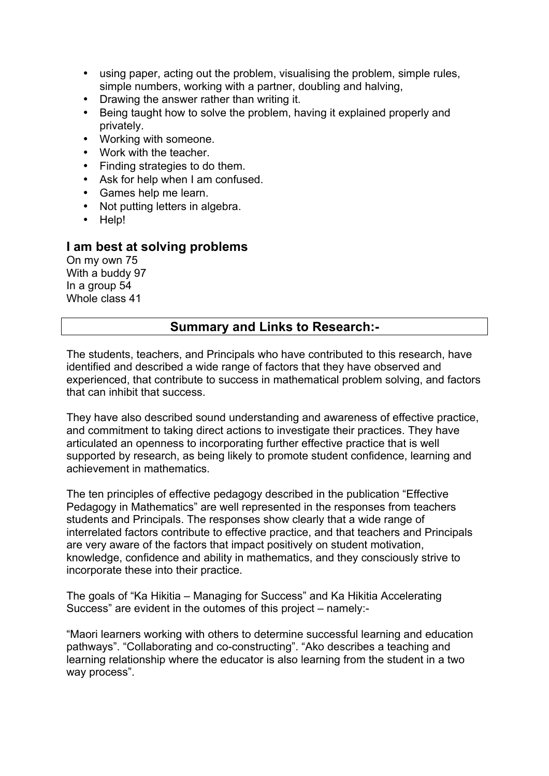- using paper, acting out the problem, visualising the problem, simple rules, simple numbers, working with a partner, doubling and halving,
- Drawing the answer rather than writing it.
- Being taught how to solve the problem, having it explained properly and privately.
- Working with someone.
- Work with the teacher.
- Finding strategies to do them.
- Ask for help when I am confused.
- Games help me learn.
- Not putting letters in algebra.
- Help!

#### **I am best at solving problems**

On my own 75 With a buddy 97 In a group 54 Whole class 41

#### **Summary and Links to Research:-**

The students, teachers, and Principals who have contributed to this research, have identified and described a wide range of factors that they have observed and experienced, that contribute to success in mathematical problem solving, and factors that can inhibit that success.

They have also described sound understanding and awareness of effective practice, and commitment to taking direct actions to investigate their practices. They have articulated an openness to incorporating further effective practice that is well supported by research, as being likely to promote student confidence, learning and achievement in mathematics.

The ten principles of effective pedagogy described in the publication "Effective Pedagogy in Mathematics" are well represented in the responses from teachers students and Principals. The responses show clearly that a wide range of interrelated factors contribute to effective practice, and that teachers and Principals are very aware of the factors that impact positively on student motivation, knowledge, confidence and ability in mathematics, and they consciously strive to incorporate these into their practice.

The goals of "Ka Hikitia – Managing for Success" and Ka Hikitia Accelerating Success" are evident in the outomes of this project – namely:-

"Maori learners working with others to determine successful learning and education pathways". "Collaborating and co-constructing". "Ako describes a teaching and learning relationship where the educator is also learning from the student in a two way process".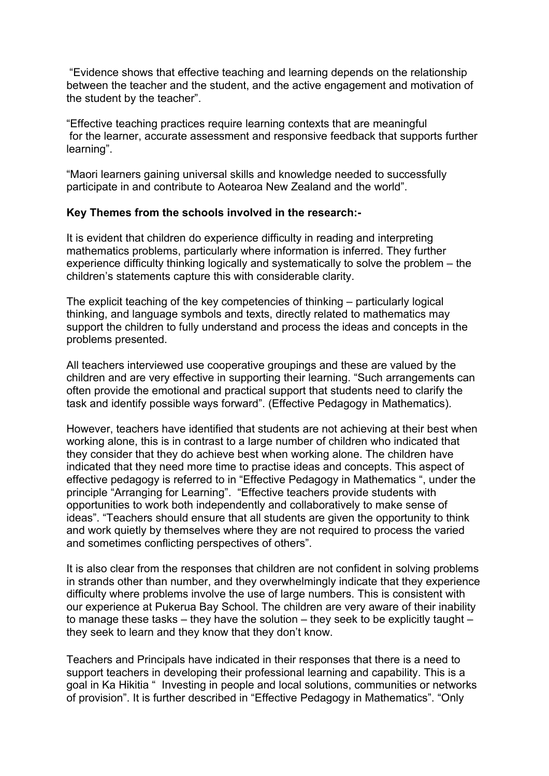"Evidence shows that effective teaching and learning depends on the relationship between the teacher and the student, and the active engagement and motivation of the student by the teacher".

"Effective teaching practices require learning contexts that are meaningful for the learner, accurate assessment and responsive feedback that supports further learning".

"Maori learners gaining universal skills and knowledge needed to successfully participate in and contribute to Aotearoa New Zealand and the world".

#### **Key Themes from the schools involved in the research:-**

It is evident that children do experience difficulty in reading and interpreting mathematics problems, particularly where information is inferred. They further experience difficulty thinking logically and systematically to solve the problem – the children's statements capture this with considerable clarity.

The explicit teaching of the key competencies of thinking – particularly logical thinking, and language symbols and texts, directly related to mathematics may support the children to fully understand and process the ideas and concepts in the problems presented.

All teachers interviewed use cooperative groupings and these are valued by the children and are very effective in supporting their learning. "Such arrangements can often provide the emotional and practical support that students need to clarify the task and identify possible ways forward". (Effective Pedagogy in Mathematics).

However, teachers have identified that students are not achieving at their best when working alone, this is in contrast to a large number of children who indicated that they consider that they do achieve best when working alone. The children have indicated that they need more time to practise ideas and concepts. This aspect of effective pedagogy is referred to in "Effective Pedagogy in Mathematics ", under the principle "Arranging for Learning". "Effective teachers provide students with opportunities to work both independently and collaboratively to make sense of ideas". "Teachers should ensure that all students are given the opportunity to think and work quietly by themselves where they are not required to process the varied and sometimes conflicting perspectives of others".

It is also clear from the responses that children are not confident in solving problems in strands other than number, and they overwhelmingly indicate that they experience difficulty where problems involve the use of large numbers. This is consistent with our experience at Pukerua Bay School. The children are very aware of their inability to manage these tasks – they have the solution – they seek to be explicitly taught – they seek to learn and they know that they don't know.

Teachers and Principals have indicated in their responses that there is a need to support teachers in developing their professional learning and capability. This is a goal in Ka Hikitia " Investing in people and local solutions, communities or networks of provision". It is further described in "Effective Pedagogy in Mathematics". "Only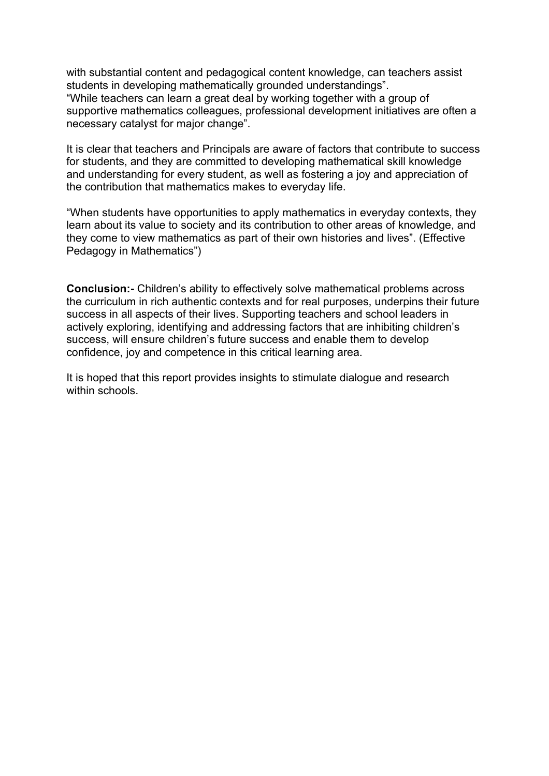with substantial content and pedagogical content knowledge, can teachers assist students in developing mathematically grounded understandings". "While teachers can learn a great deal by working together with a group of supportive mathematics colleagues, professional development initiatives are often a necessary catalyst for major change".

It is clear that teachers and Principals are aware of factors that contribute to success for students, and they are committed to developing mathematical skill knowledge and understanding for every student, as well as fostering a joy and appreciation of the contribution that mathematics makes to everyday life.

"When students have opportunities to apply mathematics in everyday contexts, they learn about its value to society and its contribution to other areas of knowledge, and they come to view mathematics as part of their own histories and lives". (Effective Pedagogy in Mathematics")

**Conclusion:-** Children's ability to effectively solve mathematical problems across the curriculum in rich authentic contexts and for real purposes, underpins their future success in all aspects of their lives. Supporting teachers and school leaders in actively exploring, identifying and addressing factors that are inhibiting children's success, will ensure children's future success and enable them to develop confidence, joy and competence in this critical learning area.

It is hoped that this report provides insights to stimulate dialogue and research within schools.